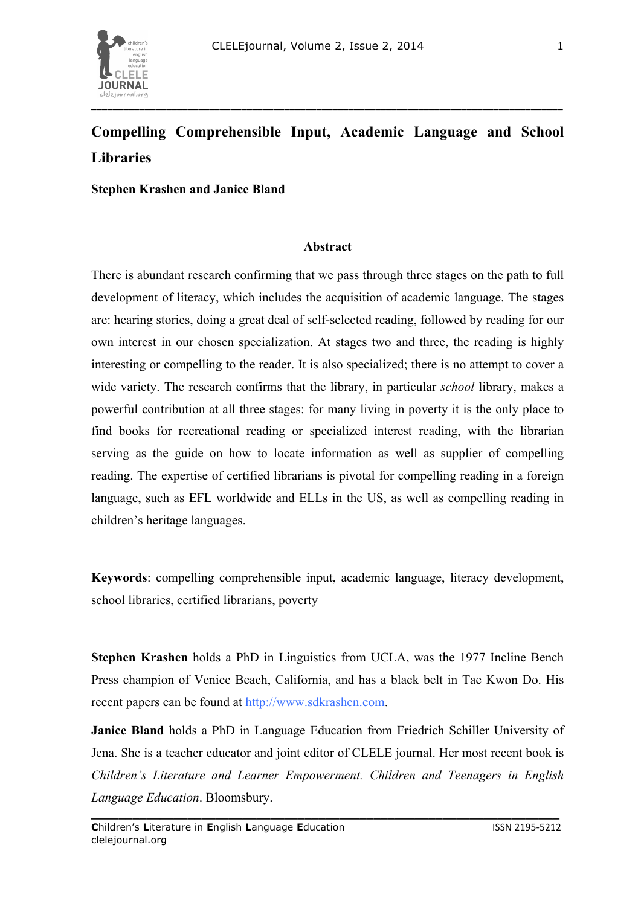

**Stephen Krashen and Janice Bland**

## **Abstract**

There is abundant research confirming that we pass through three stages on the path to full development of literacy, which includes the acquisition of academic language. The stages are: hearing stories, doing a great deal of self-selected reading, followed by reading for our own interest in our chosen specialization. At stages two and three, the reading is highly interesting or compelling to the reader. It is also specialized; there is no attempt to cover a wide variety. The research confirms that the library, in particular *school* library, makes a powerful contribution at all three stages: for many living in poverty it is the only place to find books for recreational reading or specialized interest reading, with the librarian serving as the guide on how to locate information as well as supplier of compelling reading. The expertise of certified librarians is pivotal for compelling reading in a foreign language, such as EFL worldwide and ELLs in the US, as well as compelling reading in children's heritage languages.

**Keywords**: compelling comprehensible input, academic language, literacy development, school libraries, certified librarians, poverty

**Stephen Krashen** holds a PhD in Linguistics from UCLA, was the 1977 Incline Bench Press champion of Venice Beach, California, and has a black belt in Tae Kwon Do. His recent papers can be found at http://www.sdkrashen.com.

**Janice Bland** holds a PhD in Language Education from Friedrich Schiller University of Jena. She is a teacher educator and joint editor of CLELE journal. Her most recent book is *Children's Literature and Learner Empowerment. Children and Teenagers in English Language Education*. Bloomsbury.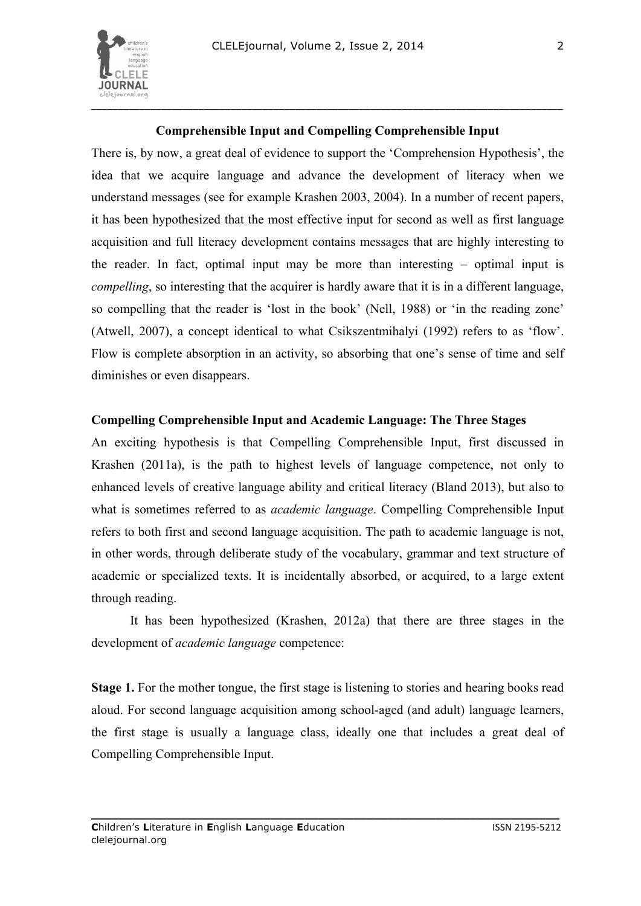

# **Comprehensible Input and Compelling Comprehensible Input**

There is, by now, a great deal of evidence to support the 'Comprehension Hypothesis', the idea that we acquire language and advance the development of literacy when we understand messages (see for example Krashen 2003, 2004). In a number of recent papers, it has been hypothesized that the most effective input for second as well as first language acquisition and full literacy development contains messages that are highly interesting to the reader. In fact, optimal input may be more than interesting – optimal input is *compelling*, so interesting that the acquirer is hardly aware that it is in a different language, so compelling that the reader is 'lost in the book' (Nell, 1988) or 'in the reading zone' (Atwell, 2007), a concept identical to what Csikszentmihalyi (1992) refers to as 'flow'. Flow is complete absorption in an activity, so absorbing that one's sense of time and self diminishes or even disappears.

#### **Compelling Comprehensible Input and Academic Language: The Three Stages**

An exciting hypothesis is that Compelling Comprehensible Input, first discussed in Krashen (2011a), is the path to highest levels of language competence, not only to enhanced levels of creative language ability and critical literacy (Bland 2013), but also to what is sometimes referred to as *academic language*. Compelling Comprehensible Input refers to both first and second language acquisition. The path to academic language is not, in other words, through deliberate study of the vocabulary, grammar and text structure of academic or specialized texts. It is incidentally absorbed, or acquired, to a large extent through reading.

It has been hypothesized (Krashen, 2012a) that there are three stages in the development of *academic language* competence:

**Stage 1.** For the mother tongue, the first stage is listening to stories and hearing books read aloud. For second language acquisition among school-aged (and adult) language learners, the first stage is usually a language class, ideally one that includes a great deal of Compelling Comprehensible Input.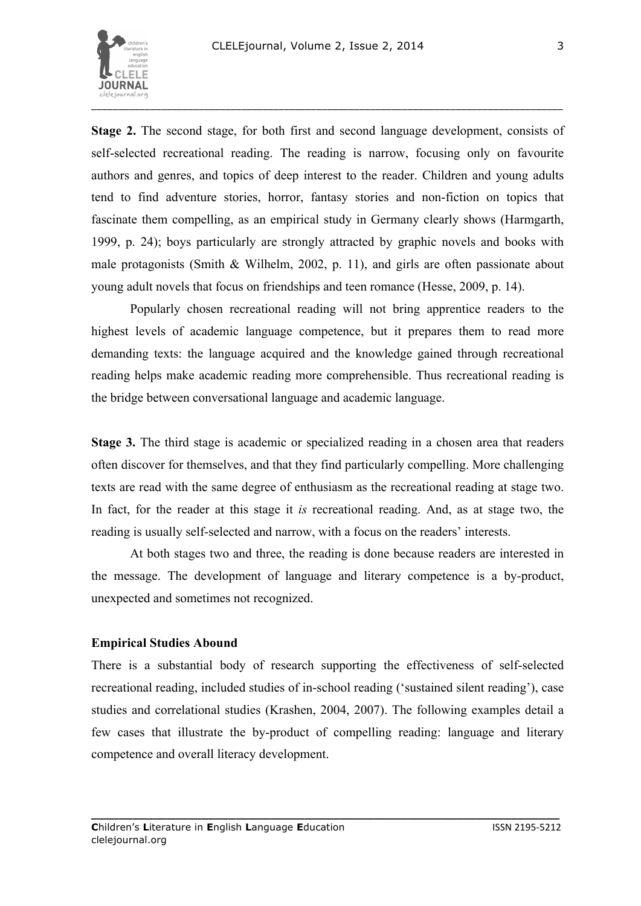

**Stage 2.** The second stage, for both first and second language development, consists of self-selected recreational reading. The reading is narrow, focusing only on favourite authors and genres, and topics of deep interest to the reader. Children and young adults tend to find adventure stories, horror, fantasy stories and non-fiction on topics that fascinate them compelling, as an empirical study in Germany clearly shows (Harmgarth, 1999, p. 24); boys particularly are strongly attracted by graphic novels and books with male protagonists (Smith & Wilhelm, 2002, p. 11), and girls are often passionate about young adult novels that focus on friendships and teen romance (Hesse, 2009, p. 14).

Popularly chosen recreational reading will not bring apprentice readers to the highest levels of academic language competence, but it prepares them to read more demanding texts: the language acquired and the knowledge gained through recreational reading helps make academic reading more comprehensible. Thus recreational reading is the bridge between conversational language and academic language.

**Stage 3.** The third stage is academic or specialized reading in a chosen area that readers often discover for themselves, and that they find particularly compelling. More challenging texts are read with the same degree of enthusiasm as the recreational reading at stage two. In fact, for the reader at this stage it *is* recreational reading. And, as at stage two, the reading is usually self-selected and narrow, with a focus on the readers' interests.

At both stages two and three, the reading is done because readers are interested in the message. The development of language and literary competence is a by-product, unexpected and sometimes not recognized.

## **Empirical Studies Abound**

There is a substantial body of research supporting the effectiveness of self-selected recreational reading, included studies of in-school reading ('sustained silent reading'), case studies and correlational studies (Krashen, 2004, 2007). The following examples detail a few cases that illustrate the by-product of compelling reading: language and literary competence and overall literacy development.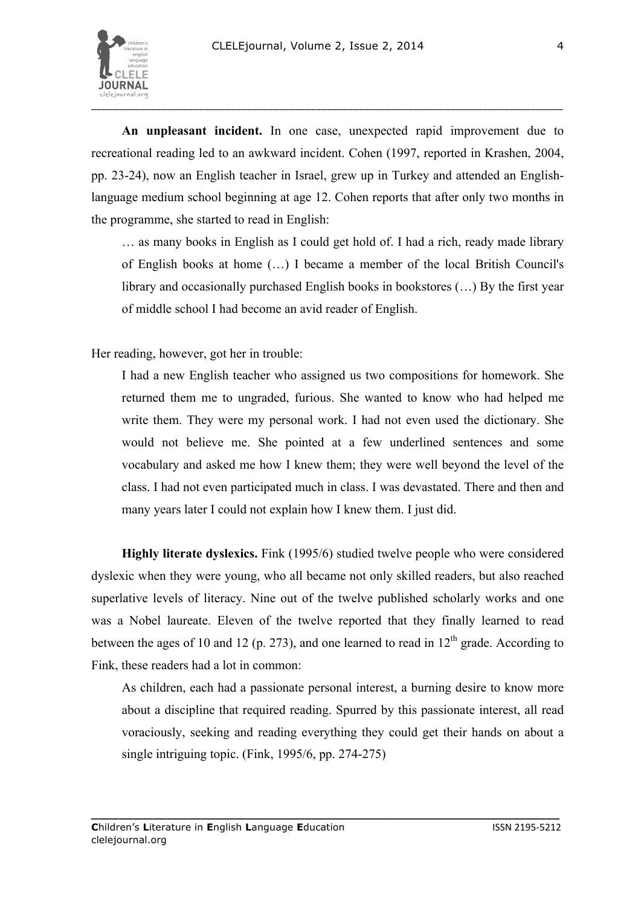

**An unpleasant incident.** In one case, unexpected rapid improvement due to recreational reading led to an awkward incident. Cohen (1997, reported in Krashen, 2004, pp. 23-24), now an English teacher in Israel, grew up in Turkey and attended an Englishlanguage medium school beginning at age 12. Cohen reports that after only two months in the programme, she started to read in English:

… as many books in English as I could get hold of. I had a rich, ready made library of English books at home (…) I became a member of the local British Council's library and occasionally purchased English books in bookstores (…) By the first year of middle school I had become an avid reader of English.

Her reading, however, got her in trouble:

I had a new English teacher who assigned us two compositions for homework. She returned them me to ungraded, furious. She wanted to know who had helped me write them. They were my personal work. I had not even used the dictionary. She would not believe me. She pointed at a few underlined sentences and some vocabulary and asked me how I knew them; they were well beyond the level of the class. I had not even participated much in class. I was devastated. There and then and many years later I could not explain how I knew them. I just did.

**Highly literate dyslexics.** Fink (1995/6) studied twelve people who were considered dyslexic when they were young, who all became not only skilled readers, but also reached superlative levels of literacy. Nine out of the twelve published scholarly works and one was a Nobel laureate. Eleven of the twelve reported that they finally learned to read between the ages of 10 and 12 (p. 273), and one learned to read in  $12<sup>th</sup>$  grade. According to Fink, these readers had a lot in common:

As children, each had a passionate personal interest, a burning desire to know more about a discipline that required reading. Spurred by this passionate interest, all read voraciously, seeking and reading everything they could get their hands on about a single intriguing topic. (Fink, 1995/6, pp. 274-275)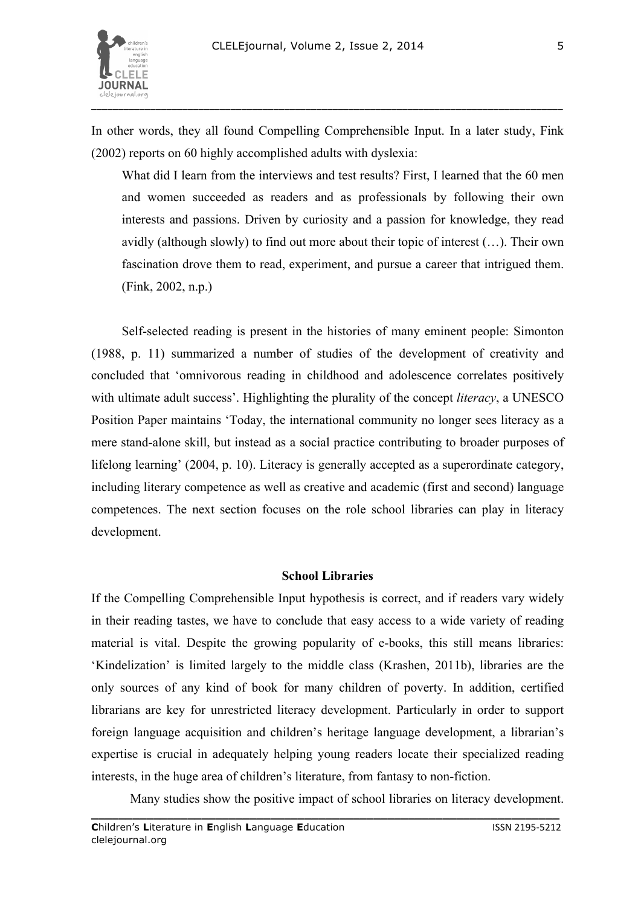

In other words, they all found Compelling Comprehensible Input. In a later study, Fink (2002) reports on 60 highly accomplished adults with dyslexia:

What did I learn from the interviews and test results? First, I learned that the 60 men and women succeeded as readers and as professionals by following their own interests and passions. Driven by curiosity and a passion for knowledge, they read avidly (although slowly) to find out more about their topic of interest (…). Their own fascination drove them to read, experiment, and pursue a career that intrigued them. (Fink, 2002, n.p.)

Self-selected reading is present in the histories of many eminent people: Simonton (1988, p. 11) summarized a number of studies of the development of creativity and concluded that 'omnivorous reading in childhood and adolescence correlates positively with ultimate adult success'. Highlighting the plurality of the concept *literacy*, a UNESCO Position Paper maintains 'Today, the international community no longer sees literacy as a mere stand-alone skill, but instead as a social practice contributing to broader purposes of lifelong learning' (2004, p. 10). Literacy is generally accepted as a superordinate category, including literary competence as well as creative and academic (first and second) language competences. The next section focuses on the role school libraries can play in literacy development.

#### **School Libraries**

If the Compelling Comprehensible Input hypothesis is correct, and if readers vary widely in their reading tastes, we have to conclude that easy access to a wide variety of reading material is vital. Despite the growing popularity of e-books, this still means libraries: 'Kindelization' is limited largely to the middle class (Krashen, 2011b), libraries are the only sources of any kind of book for many children of poverty. In addition, certified librarians are key for unrestricted literacy development. Particularly in order to support foreign language acquisition and children's heritage language development, a librarian's expertise is crucial in adequately helping young readers locate their specialized reading interests, in the huge area of children's literature, from fantasy to non-fiction.

Many studies show the positive impact of school libraries on literacy development.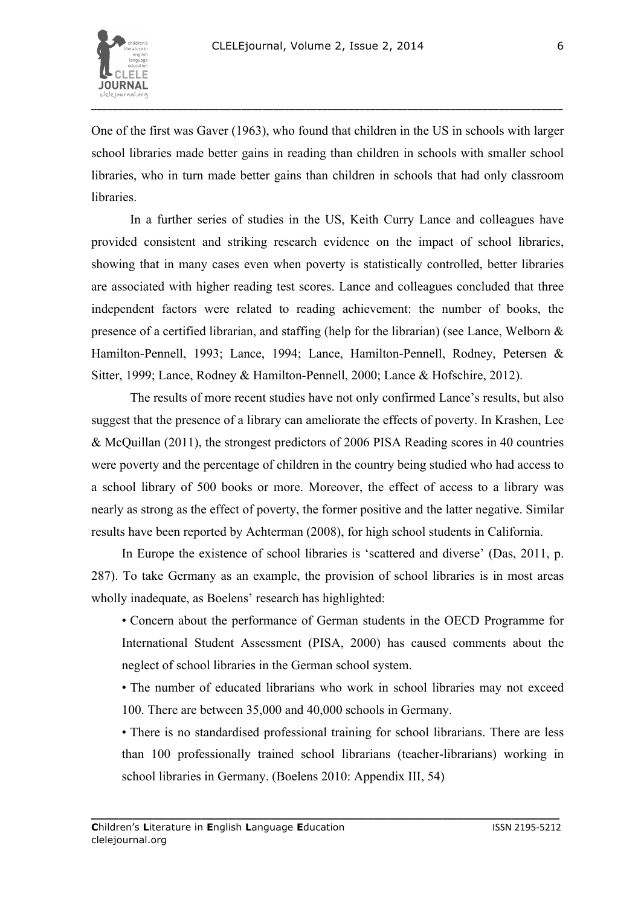

6

One of the first was Gaver (1963), who found that children in the US in schools with larger school libraries made better gains in reading than children in schools with smaller school libraries, who in turn made better gains than children in schools that had only classroom **libraries** 

In a further series of studies in the US, Keith Curry Lance and colleagues have provided consistent and striking research evidence on the impact of school libraries, showing that in many cases even when poverty is statistically controlled, better libraries are associated with higher reading test scores. Lance and colleagues concluded that three independent factors were related to reading achievement: the number of books, the presence of a certified librarian, and staffing (help for the librarian) (see Lance, Welborn & Hamilton-Pennell, 1993; Lance, 1994; Lance, Hamilton-Pennell, Rodney, Petersen & Sitter, 1999; Lance, Rodney & Hamilton-Pennell, 2000; Lance & Hofschire, 2012).

The results of more recent studies have not only confirmed Lance's results, but also suggest that the presence of a library can ameliorate the effects of poverty. In Krashen, Lee & McQuillan (2011), the strongest predictors of 2006 PISA Reading scores in 40 countries were poverty and the percentage of children in the country being studied who had access to a school library of 500 books or more. Moreover, the effect of access to a library was nearly as strong as the effect of poverty, the former positive and the latter negative. Similar results have been reported by Achterman (2008), for high school students in California.

In Europe the existence of school libraries is 'scattered and diverse' (Das, 2011, p. 287). To take Germany as an example, the provision of school libraries is in most areas wholly inadequate, as Boelens' research has highlighted:

• Concern about the performance of German students in the OECD Programme for International Student Assessment (PISA, 2000) has caused comments about the neglect of school libraries in the German school system.

• The number of educated librarians who work in school libraries may not exceed 100. There are between 35,000 and 40,000 schools in Germany.

• There is no standardised professional training for school librarians. There are less than 100 professionally trained school librarians (teacher-librarians) working in school libraries in Germany. (Boelens 2010: Appendix III, 54)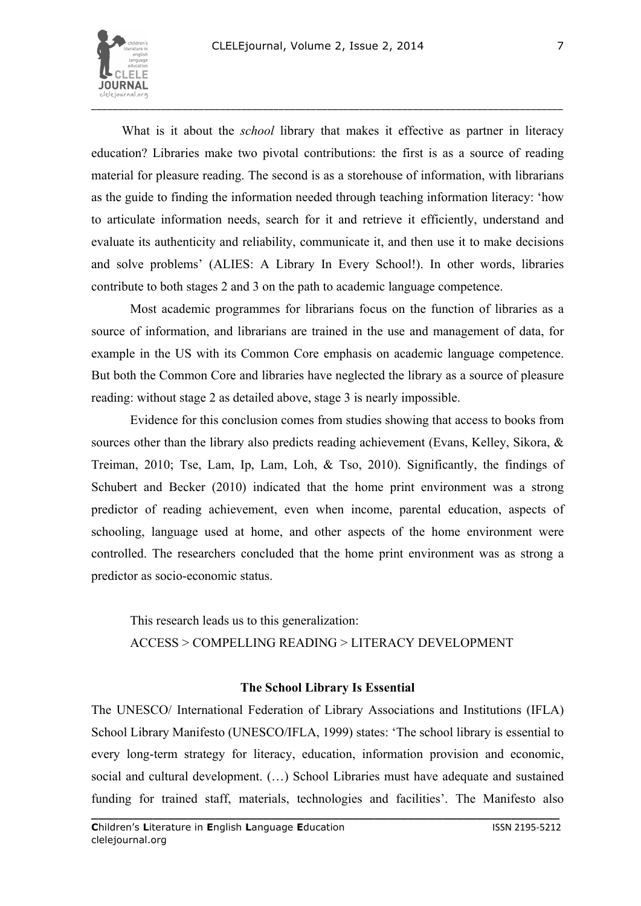

What is it about the *school* library that makes it effective as partner in literacy education? Libraries make two pivotal contributions: the first is as a source of reading material for pleasure reading. The second is as a storehouse of information, with librarians as the guide to finding the information needed through teaching information literacy: 'how to articulate information needs, search for it and retrieve it efficiently, understand and evaluate its authenticity and reliability, communicate it, and then use it to make decisions and solve problems' (ALIES: A Library In Every School!). In other words, libraries contribute to both stages 2 and 3 on the path to academic language competence.

Most academic programmes for librarians focus on the function of libraries as a source of information, and librarians are trained in the use and management of data, for example in the US with its Common Core emphasis on academic language competence. But both the Common Core and libraries have neglected the library as a source of pleasure reading: without stage 2 as detailed above, stage 3 is nearly impossible.

Evidence for this conclusion comes from studies showing that access to books from sources other than the library also predicts reading achievement (Evans, Kelley, Sikora, & Treiman, 2010; Tse, Lam, Ip, Lam, Loh, & Tso, 2010). Significantly, the findings of Schubert and Becker (2010) indicated that the home print environment was a strong predictor of reading achievement, even when income, parental education, aspects of schooling, language used at home, and other aspects of the home environment were controlled. The researchers concluded that the home print environment was as strong a predictor as socio-economic status.

This research leads us to this generalization: ACCESS > COMPELLING READING > LITERACY DEVELOPMENT

## **The School Library Is Essential**

The UNESCO/ International Federation of Library Associations and Institutions (IFLA) School Library Manifesto (UNESCO/IFLA, 1999) states: 'The school library is essential to every long-term strategy for literacy, education, information provision and economic, social and cultural development. (…) School Libraries must have adequate and sustained funding for trained staff, materials, technologies and facilities'. The Manifesto also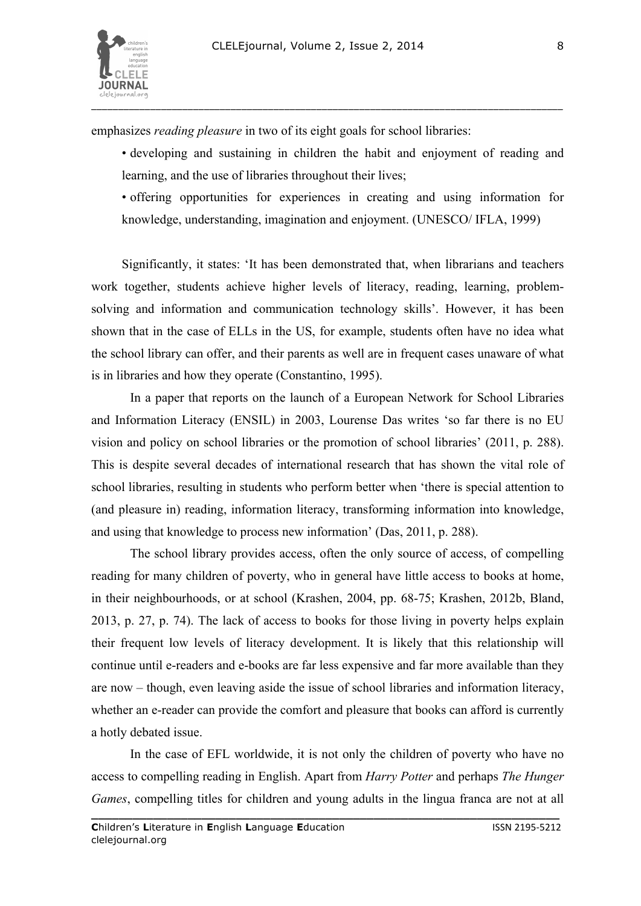

emphasizes *reading pleasure* in two of its eight goals for school libraries:

- developing and sustaining in children the habit and enjoyment of reading and learning, and the use of libraries throughout their lives;
- offering opportunities for experiences in creating and using information for knowledge, understanding, imagination and enjoyment. (UNESCO/ IFLA, 1999)

Significantly, it states: 'It has been demonstrated that, when librarians and teachers work together, students achieve higher levels of literacy, reading, learning, problemsolving and information and communication technology skills'. However, it has been shown that in the case of ELLs in the US, for example, students often have no idea what the school library can offer, and their parents as well are in frequent cases unaware of what is in libraries and how they operate (Constantino, 1995).

In a paper that reports on the launch of a European Network for School Libraries and Information Literacy (ENSIL) in 2003, Lourense Das writes 'so far there is no EU vision and policy on school libraries or the promotion of school libraries' (2011, p. 288). This is despite several decades of international research that has shown the vital role of school libraries, resulting in students who perform better when 'there is special attention to (and pleasure in) reading, information literacy, transforming information into knowledge, and using that knowledge to process new information' (Das, 2011, p. 288).

The school library provides access, often the only source of access, of compelling reading for many children of poverty, who in general have little access to books at home, in their neighbourhoods, or at school (Krashen, 2004, pp. 68-75; Krashen, 2012b, Bland, 2013, p. 27, p. 74). The lack of access to books for those living in poverty helps explain their frequent low levels of literacy development. It is likely that this relationship will continue until e-readers and e-books are far less expensive and far more available than they are now – though, even leaving aside the issue of school libraries and information literacy, whether an e-reader can provide the comfort and pleasure that books can afford is currently a hotly debated issue.

In the case of EFL worldwide, it is not only the children of poverty who have no access to compelling reading in English. Apart from *Harry Potter* and perhaps *The Hunger Games*, compelling titles for children and young adults in the lingua franca are not at all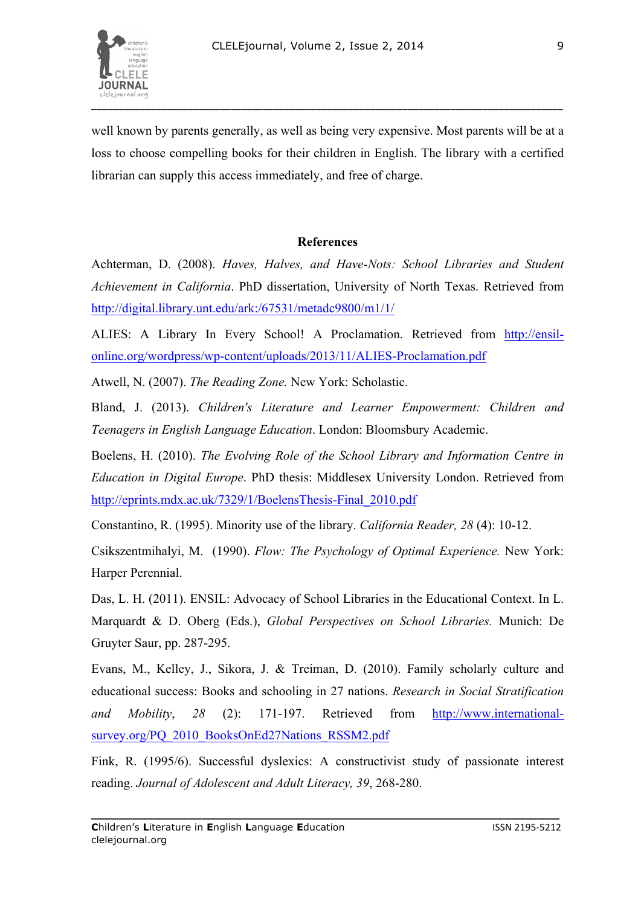

9

well known by parents generally, as well as being very expensive. Most parents will be at a loss to choose compelling books for their children in English. The library with a certified librarian can supply this access immediately, and free of charge.

## **References**

Achterman, D. (2008). *Haves, Halves, and Have-Nots: School Libraries and Student Achievement in California*. PhD dissertation, University of North Texas. Retrieved from http://digital.library.unt.edu/ark:/67531/metadc9800/m1/1/

ALIES: A Library In Every School! A Proclamation. Retrieved from http://ensilonline.org/wordpress/wp-content/uploads/2013/11/ALIES-Proclamation.pdf

Atwell, N. (2007). *The Reading Zone.* New York: Scholastic.

Bland, J. (2013). *Children's Literature and Learner Empowerment: Children and Teenagers in English Language Education*. London: Bloomsbury Academic.

Boelens, H. (2010). *The Evolving Role of the School Library and Information Centre in Education in Digital Europe*. PhD thesis: Middlesex University London. Retrieved from http://eprints.mdx.ac.uk/7329/1/BoelensThesis-Final\_2010.pdf

Constantino, R. (1995). Minority use of the library. *California Reader, 28* (4): 10-12.

Csikszentmihalyi, M. (1990). *Flow: The Psychology of Optimal Experience.* New York: Harper Perennial.

Das, L. H. (2011). ENSIL: Advocacy of School Libraries in the Educational Context. In L. Marquardt & D. Oberg (Eds.), *Global Perspectives on School Libraries.* Munich: De Gruyter Saur, pp. 287-295.

Evans, M., Kelley, J., Sikora, J. & Treiman, D. (2010). Family scholarly culture and educational success: Books and schooling in 27 nations. *Research in Social Stratification and Mobility*, *28* (2): 171-197. Retrieved from http://www.internationalsurvey.org/PO\_2010\_BooksOnEd27Nations\_RSSM2.pdf

Fink, R. (1995/6). Successful dyslexics: A constructivist study of passionate interest reading. *Journal of Adolescent and Adult Literacy, 39*, 268-280.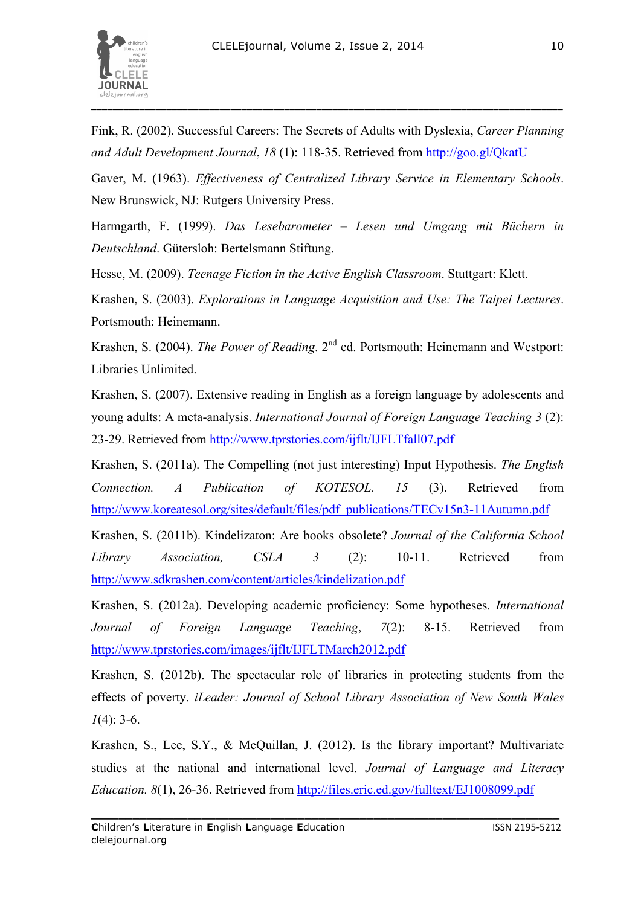

\_\_\_\_\_\_\_\_\_\_\_\_\_\_\_\_\_\_\_\_\_\_\_\_\_\_\_\_\_\_\_\_\_\_\_\_\_\_\_\_\_\_\_\_\_\_\_\_\_\_\_\_\_\_\_\_\_\_\_\_\_\_\_\_\_\_\_\_\_\_\_\_\_\_\_\_\_\_\_\_\_\_\_\_\_\_\_\_

Fink, R. (2002). Successful Careers: The Secrets of Adults with Dyslexia, *Career Planning and Adult Development Journal*, *18* (1): 118-35. Retrieved from http://goo.gl/QkatU

Gaver, M. (1963). *Effectiveness of Centralized Library Service in Elementary Schools*. New Brunswick, NJ: Rutgers University Press.

Harmgarth, F. (1999). *Das Lesebarometer – Lesen und Umgang mit Büchern in Deutschland*. Gütersloh: Bertelsmann Stiftung.

Hesse, M. (2009). *Teenage Fiction in the Active English Classroom*. Stuttgart: Klett.

Krashen, S. (2003). *Explorations in Language Acquisition and Use: The Taipei Lectures*. Portsmouth: Heinemann.

Krashen, S. (2004). *The Power of Reading*. 2nd ed. Portsmouth: Heinemann and Westport: Libraries Unlimited.

Krashen, S. (2007). Extensive reading in English as a foreign language by adolescents and young adults: A meta-analysis. *International Journal of Foreign Language Teaching 3* (2): 23-29. Retrieved from http://www.tprstories.com/ijflt/IJFLTfall07.pdf

Krashen, S. (2011a). The Compelling (not just interesting) Input Hypothesis. *The English Connection. A Publication of KOTESOL. 15* (3). Retrieved from http://www.koreatesol.org/sites/default/files/pdf\_publications/TECv15n3-11Autumn.pdf

Krashen, S. (2011b). Kindelizaton: Are books obsolete? *Journal of the California School Library Association, CSLA 3* (2): 10-11. Retrieved from http://www.sdkrashen.com/content/articles/kindelization.pdf

Krashen, S. (2012a). Developing academic proficiency: Some hypotheses. *International Journal of Foreign Language Teaching*, *7*(2): 8-15. Retrieved from http://www.tprstories.com/images/ijflt/IJFLTMarch2012.pdf

Krashen, S. (2012b). The spectacular role of libraries in protecting students from the effects of poverty. *iLeader: Journal of School Library Association of New South Wales 1*(4): 3-6.

Krashen, S., Lee, S.Y., & McQuillan, J. (2012). Is the library important? Multivariate studies at the national and international level. *Journal of Language and Literacy Education. 8*(1), 26-36. Retrieved from http://files.eric.ed.gov/fulltext/EJ1008099.pdf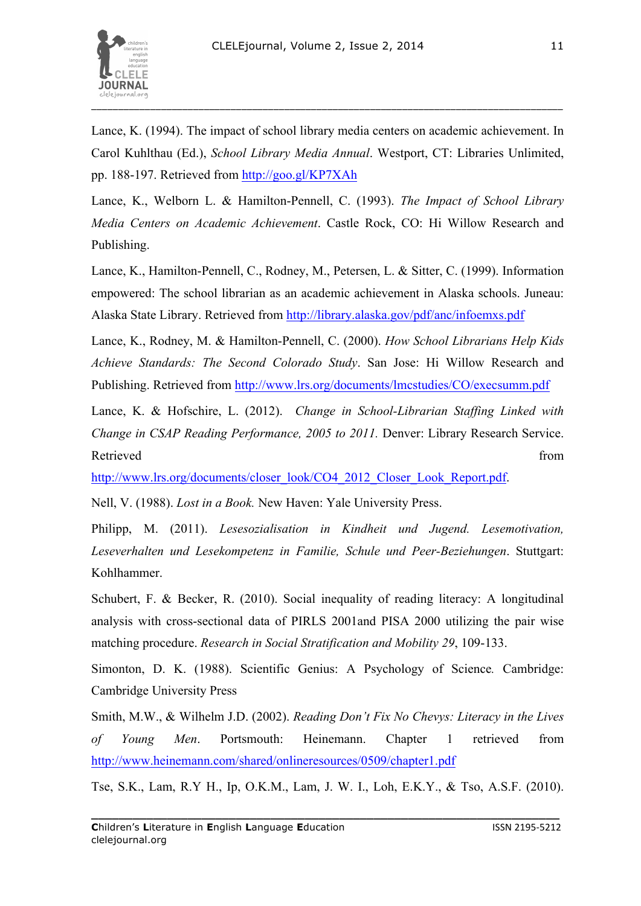

Lance, K. (1994). The impact of school library media centers on academic achievement. In Carol Kuhlthau (Ed.), *School Library Media Annual*. Westport, CT: Libraries Unlimited, pp. 188-197. Retrieved from http://goo.gl/KP7XAh

Lance, K., Welborn L. & Hamilton-Pennell, C. (1993). *The Impact of School Library Media Centers on Academic Achievement*. Castle Rock, CO: Hi Willow Research and Publishing.

Lance, K., Hamilton-Pennell, C., Rodney, M., Petersen, L. & Sitter, C. (1999). Information empowered: The school librarian as an academic achievement in Alaska schools. Juneau: Alaska State Library. Retrieved from http://library.alaska.gov/pdf/anc/infoemxs.pdf

Lance, K., Rodney, M. & Hamilton-Pennell, C. (2000). *How School Librarians Help Kids Achieve Standards: The Second Colorado Study*. San Jose: Hi Willow Research and Publishing. Retrieved from http://www.lrs.org/documents/lmcstudies/CO/execsumm.pdf

Lance, K. & Hofschire, L. (2012). *Change in School-Librarian Staffing Linked with Change in CSAP Reading Performance, 2005 to 2011.* Denver: Library Research Service. Retrieved from the state of the state of the state of the state of the state of the state of the state of the state of the state of the state of the state of the state of the state of the state of the state of the state of

http://www.lrs.org/documents/closer\_look/CO4\_2012\_Closer\_Look\_Report.pdf.

Nell, V. (1988). *Lost in a Book.* New Haven: Yale University Press.

Philipp, M. (2011). *Lesesozialisation in Kindheit und Jugend. Lesemotivation, Leseverhalten und Lesekompetenz in Familie, Schule und Peer-Beziehungen*. Stuttgart: Kohlhammer.

Schubert, F. & Becker, R. (2010). Social inequality of reading literacy: A longitudinal analysis with cross-sectional data of PIRLS 2001and PISA 2000 utilizing the pair wise matching procedure. *Research in Social Stratification and Mobility 29*, 109-133.

Simonton, D. K. (1988). Scientific Genius: A Psychology of Science*.* Cambridge: Cambridge University Press

Smith, M.W., & Wilhelm J.D. (2002). *Reading Don't Fix No Chevys: Literacy in the Lives of Young Men*. Portsmouth: Heinemann. Chapter 1 retrieved from http://www.heinemann.com/shared/onlineresources/0509/chapter1.pdf

Tse, S.K., Lam, R.Y H., Ip, O.K.M., Lam, J. W. I., Loh, E.K.Y., & Tso, A.S.F. (2010).